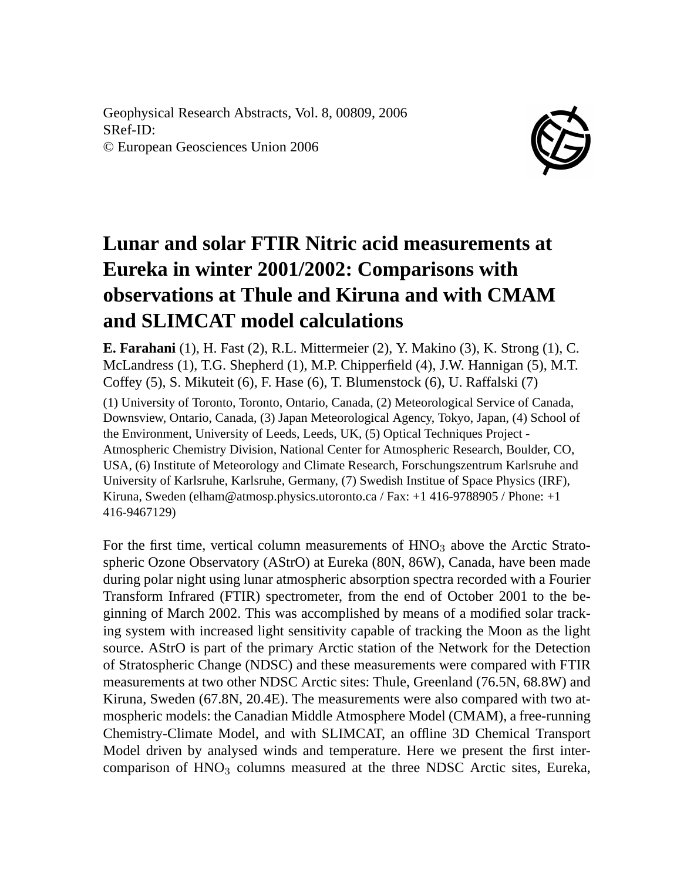Geophysical Research Abstracts, Vol. 8, 00809, 2006 SRef-ID: © European Geosciences Union 2006



## **Lunar and solar FTIR Nitric acid measurements at Eureka in winter 2001/2002: Comparisons with observations at Thule and Kiruna and with CMAM and SLIMCAT model calculations**

**E. Farahani** (1), H. Fast (2), R.L. Mittermeier (2), Y. Makino (3), K. Strong (1), C. McLandress (1), T.G. Shepherd (1), M.P. Chipperfield (4), J.W. Hannigan (5), M.T. Coffey (5), S. Mikuteit (6), F. Hase (6), T. Blumenstock (6), U. Raffalski (7)

(1) University of Toronto, Toronto, Ontario, Canada, (2) Meteorological Service of Canada, Downsview, Ontario, Canada, (3) Japan Meteorological Agency, Tokyo, Japan, (4) School of the Environment, University of Leeds, Leeds, UK, (5) Optical Techniques Project - Atmospheric Chemistry Division, National Center for Atmospheric Research, Boulder, CO, USA, (6) Institute of Meteorology and Climate Research, Forschungszentrum Karlsruhe and University of Karlsruhe, Karlsruhe, Germany, (7) Swedish Institue of Space Physics (IRF), Kiruna, Sweden (elham@atmosp.physics.utoronto.ca / Fax: +1 416-9788905 / Phone: +1 416-9467129)

For the first time, vertical column measurements of  $HNO<sub>3</sub>$  above the Arctic Stratospheric Ozone Observatory (AStrO) at Eureka (80N, 86W), Canada, have been made during polar night using lunar atmospheric absorption spectra recorded with a Fourier Transform Infrared (FTIR) spectrometer, from the end of October 2001 to the beginning of March 2002. This was accomplished by means of a modified solar tracking system with increased light sensitivity capable of tracking the Moon as the light source. AStrO is part of the primary Arctic station of the Network for the Detection of Stratospheric Change (NDSC) and these measurements were compared with FTIR measurements at two other NDSC Arctic sites: Thule, Greenland (76.5N, 68.8W) and Kiruna, Sweden (67.8N, 20.4E). The measurements were also compared with two atmospheric models: the Canadian Middle Atmosphere Model (CMAM), a free-running Chemistry-Climate Model, and with SLIMCAT, an offline 3D Chemical Transport Model driven by analysed winds and temperature. Here we present the first intercomparison of HNO<sub>3</sub> columns measured at the three NDSC Arctic sites, Eureka,